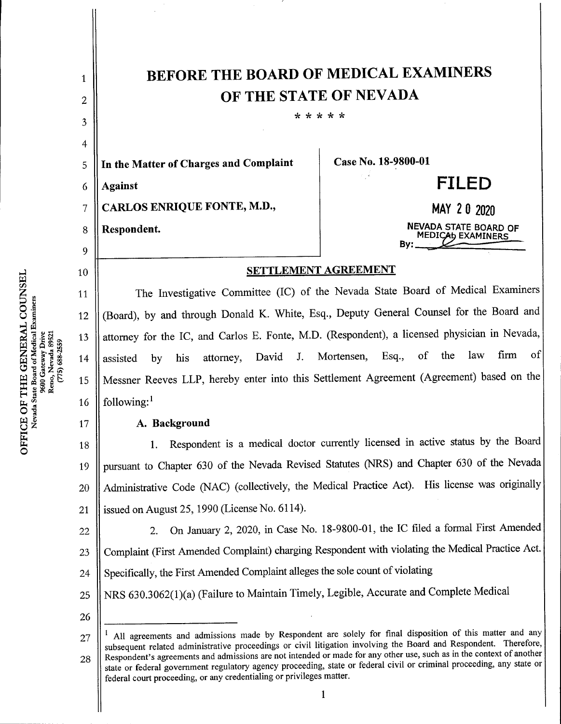| 1        | <b>BEFORE THE BOARD OF MEDICAL EXAMINERS</b>                                                                                                                                                                                                                                                                                                                                                                                                                                                                                                          |                                                          |
|----------|-------------------------------------------------------------------------------------------------------------------------------------------------------------------------------------------------------------------------------------------------------------------------------------------------------------------------------------------------------------------------------------------------------------------------------------------------------------------------------------------------------------------------------------------------------|----------------------------------------------------------|
| 2        | OF THE STATE OF NEVADA                                                                                                                                                                                                                                                                                                                                                                                                                                                                                                                                |                                                          |
| 3        | * * * * *                                                                                                                                                                                                                                                                                                                                                                                                                                                                                                                                             |                                                          |
| 4        |                                                                                                                                                                                                                                                                                                                                                                                                                                                                                                                                                       |                                                          |
| 5        | In the Matter of Charges and Complaint                                                                                                                                                                                                                                                                                                                                                                                                                                                                                                                | Case No. 18-9800-01                                      |
| 6        | <b>Against</b>                                                                                                                                                                                                                                                                                                                                                                                                                                                                                                                                        | <b>FILED</b>                                             |
| 7        | CARLOS ENRIQUE FONTE, M.D.,                                                                                                                                                                                                                                                                                                                                                                                                                                                                                                                           | MAY 20 2020                                              |
| 8        | Respondent.                                                                                                                                                                                                                                                                                                                                                                                                                                                                                                                                           | <b>NEVADA STATE BOARD OF</b><br><b>MEDICAb EXAMINERS</b> |
| 9        |                                                                                                                                                                                                                                                                                                                                                                                                                                                                                                                                                       | By:                                                      |
| 10       | <b>SETTLEMENT AGREEMENT</b>                                                                                                                                                                                                                                                                                                                                                                                                                                                                                                                           |                                                          |
| 11       | The Investigative Committee (IC) of the Nevada State Board of Medical Examiners                                                                                                                                                                                                                                                                                                                                                                                                                                                                       |                                                          |
| 12       | (Board), by and through Donald K. White, Esq., Deputy General Counsel for the Board and                                                                                                                                                                                                                                                                                                                                                                                                                                                               |                                                          |
| 13       | attorney for the IC, and Carlos E. Fonte, M.D. (Respondent), a licensed physician in Nevada,                                                                                                                                                                                                                                                                                                                                                                                                                                                          |                                                          |
| 14       | firm<br><sub>of</sub><br>law<br>of the<br>Mortensen,<br>Esq.,<br>$J_{\star}$<br>David<br>attorney,<br>his<br>assisted<br>by                                                                                                                                                                                                                                                                                                                                                                                                                           |                                                          |
| 15       | Messner Reeves LLP, hereby enter into this Settlement Agreement (Agreement) based on the                                                                                                                                                                                                                                                                                                                                                                                                                                                              |                                                          |
| 16       | following:                                                                                                                                                                                                                                                                                                                                                                                                                                                                                                                                            |                                                          |
| 17       | A. Background                                                                                                                                                                                                                                                                                                                                                                                                                                                                                                                                         |                                                          |
| 18       | Respondent is a medical doctor currently licensed in active status by the Board<br>1.                                                                                                                                                                                                                                                                                                                                                                                                                                                                 |                                                          |
| 19       | pursuant to Chapter 630 of the Nevada Revised Statutes (NRS) and Chapter 630 of the Nevada                                                                                                                                                                                                                                                                                                                                                                                                                                                            |                                                          |
| 20       | Administrative Code (NAC) (collectively, the Medical Practice Act). His license was originally                                                                                                                                                                                                                                                                                                                                                                                                                                                        |                                                          |
| 21       | issued on August 25, 1990 (License No. 6114).                                                                                                                                                                                                                                                                                                                                                                                                                                                                                                         |                                                          |
| 22       | On January 2, 2020, in Case No. 18-9800-01, the IC filed a formal First Amended<br>2.                                                                                                                                                                                                                                                                                                                                                                                                                                                                 |                                                          |
| 23       | Complaint (First Amended Complaint) charging Respondent with violating the Medical Practice Act.                                                                                                                                                                                                                                                                                                                                                                                                                                                      |                                                          |
| 24       | Specifically, the First Amended Complaint alleges the sole count of violating                                                                                                                                                                                                                                                                                                                                                                                                                                                                         |                                                          |
| 25       | NRS 630.3062(1)(a) (Failure to Maintain Timely, Legible, Accurate and Complete Medical                                                                                                                                                                                                                                                                                                                                                                                                                                                                |                                                          |
| 26       |                                                                                                                                                                                                                                                                                                                                                                                                                                                                                                                                                       |                                                          |
| 27<br>28 | All agreements and admissions made by Respondent are solely for final disposition of this matter and any<br>subsequent related administrative proceedings or civil litigation involving the Board and Respondent. Therefore,<br>Respondent's agreements and admissions are not intended or made for any other use, such as in the context of another<br>state or federal government regulatory agency proceeding, state or federal civil or criminal proceeding, any state or<br>federal court proceeding, or any credentialing or privileges matter. |                                                          |
|          | 1                                                                                                                                                                                                                                                                                                                                                                                                                                                                                                                                                     |                                                          |

τ.

 $\frac{1}{2}$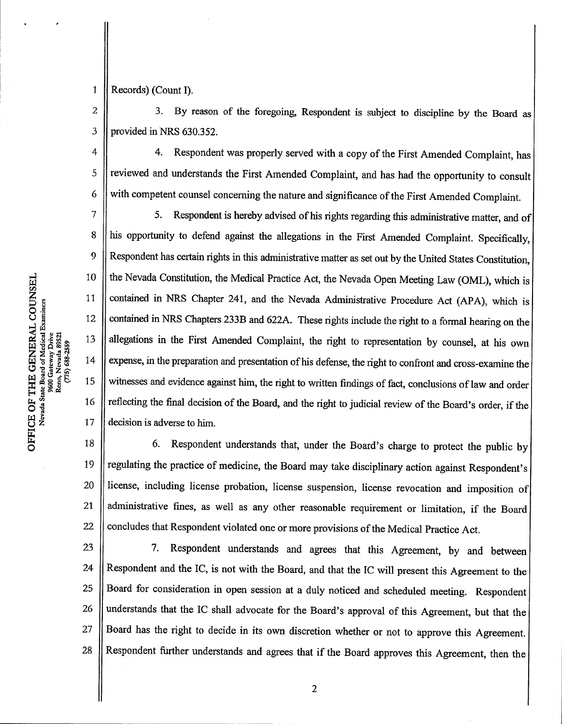Records) (Count I). 1

3. By reason of the foregoing, Respondent is subject to discipline by the Board as provided in NRS 630.352. 2 3

4. Respondent was properly served with a copy of the First Amended Complaint, has reviewed and understands the First Amended Complaint, and has had the opportunity to consult with competent counsel concerning the nature and significance of the First Amended Complaint. 4 5 6

5. Respondent is hereby advised of his rights regarding this administrative matter, and of his opportunity to defend against the allegations in the First Amended Complaint. Specifically, Respondent has certain rights in this administrative matter as set out by the United States Constitution, the Nevada Constitution, the Medical Practice Act, the Nevada Open Meeting Law (OML), which is contained in NRS Chapter 241, and the Nevada Administrative Procedure Act (APA), which is contained in NRS Chapters 233B and 622A. These rights include the right to a formal hearing on the allegations in the First Amended Complaint, the right to representation by counsel, at his own expense, in the preparation and presentation of his defense, the right to confront and cross-examine the witnesses and evidence against him, the right to written findings of fact, conclusions of law and order reflecting the final decision of the Board, and the right to judicial review of the Board's order, if the decision is adverse to him. 7 8 9 10 11 12 13 14 15 16 17

6.Respondent understands that, under the Board's charge to protect the public by regulating the practice of medicine, the Board may take disciplinary action against Respondent's license, including license probation, license suspension, license revocation and imposition of administrative fines, as well as any other reasonable requirement or limitation, if the Board concludes that Respondent violated one or more provisions of the Medical Practice Act. 18 19 20 21 22

7.Respondent understands and agrees that this Agreement, by and between Respondent and the IC, is not with the Board, and that the IC will present this Agreement to the Board for consideration in open session at a duly noticed and scheduled meeting. Respondent understands that the IC shall advocate for the Board's approval of this Agreement, but that the Board has the right to decide in its own discretion whether or not to approve this Agreement. Respondent further understands and agrees that if the Board approves this Agreement, then the 23 24 25 26 27 28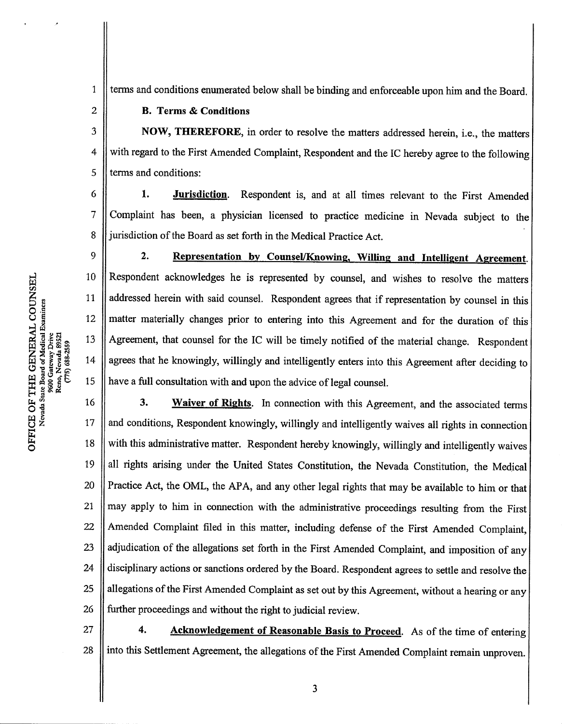Nevad<br>G Reno, N<br>(775) F THE<br>State Boa cdical E<br>Drive<br>. 89521 OJ w C/3

terms and conditions enumerated below shall be binding and enforceable upon him and the Board. 1

## **B. Terms & Conditions**

2

NOW, THEREFORE, in order to resolve the matters addressed herein, i.e., the matters with regard to the First Amended Complaint, Respondent and the IC hereby agree to the following terms and conditions: 3 4 5

1. **Jurisdiction**. Respondent is, and at all times relevant to the First Amended Complaint has been, a physician licensed to practice medicine in Nevada subject to the jurisdiction of the Board as set forth in the Medical Practice Act. 6 7 8

9 2. Representation by Counsel/Knowing, Willing and Intelligent Agreement. Respondent acknowledges he is represented by counsel, and wishes to resolve the matters 10 addressed herein with said counsel. Respondent agrees that if representation by counsel in this 11 matter materially changes prior to entering into this Agreement and for the duration of this 12 13 Agreement, that counsel for the IC will be timely notified of the material change. Respondent agrees that he knowingly, willingly and intelligently enters into this Agreement after deciding to 14 15 have a full consultation with and upon the advice of legal counsel.

3. Waiver of Rights. In connection with this Agreement, and the associated terms and conditions, Respondent knowingly, willingly and intelligently waives all rights in connection with this administrative matter. Respondent hereby knowingly, willingly and intelligently waives all rights arising under the United States Constitution, the Nevada Constitution, the Medical Practice Act, the OML, the APA, and any other legal rights that may be available to him or that may apply to him in connection with the administrative proceedings resulting from the First Amended Complaint filed in this matter, including defense of the First Amended Complaint, adjudication of the allegations set forth in the First Amended Complaint, and imposition of any disciplinary actions or sanctions ordered by the Board. Respondent agrees to settle and resolve the allegations of the First Amended Complaint as set out by this Agreement, without a hearing or any further proceedings and without the right to judicial review. 16 17 18 19 20 21 22 23 24 25 26

4. Acknowledgement of Reasonable Basis to Proceed. As of the time of entering into this Settlement Agreement, the allegations of the First Amended Complaint remain unproven. 27 28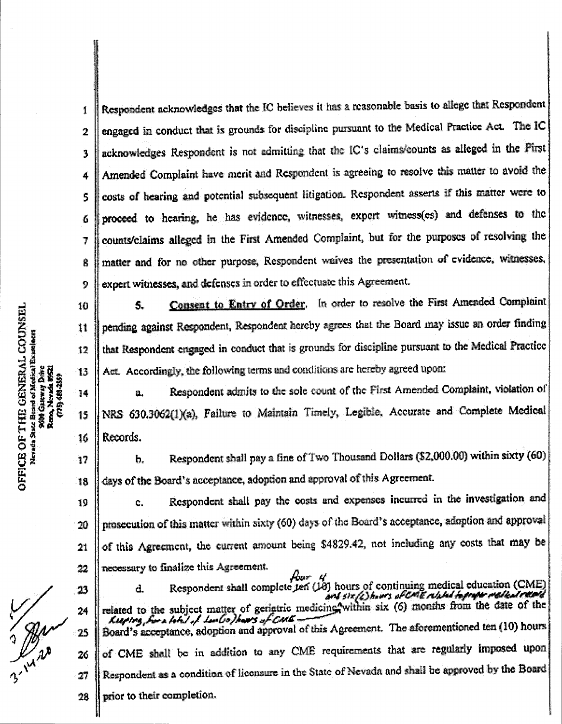Respondent acknowledges that the IC believes it has a reasonable basis to allege that Respondent engaged in conduct that is grounds for discipline pursuant to the Medical Practice Act. The IC acknowledges Respondent is not admitting that the IC's claims/counts as alleged in the First Amended Complaint have merit and Respondent is agreeing to resolve this matter to avoid the costs of hearing and potential subsequent litigation. Respondent asserts if this matter were to proceed to hearing, he has evidence, witnesses, expert witness(es) and defenses to the counts/claims alleged in the First Amended Complaint, but for the purposes of resolving the matter and for no other purpose, Respondent waives the presentation of evidence, witnesses, expert witnesses, and defenses in order to effectuate this Agreement. 1 2 3 4 5 6 7 Ŕ 9

5. Consent to Entry of Order. In order to resolve the First Amended Complaint pending against Respondent, Respondent hereby agrees that the Board may issue an order finding that Respondent engaged in conduct that is grounds for discipline pursuant to the Medical Practice Act. Accordingly, the following terms and conditions are hereby agreed upon:

a. Respondent admits to the sole count of the First Amended Complaint, violation of NRS 630.3062(1)(a), Failure to Maintain Timely, Legible, Accurate and Complete Medical Records,

b. Respondent shall pay a fine of Two Thousand Dollars (\$2,000.00) within sixty (60) days of the Board's acceptance, adoption and approval of this Agreement.

c. Respondent shall pay the costs and expenses incurred in the investigation and prosecution of this matter within sixty (60) days of the Board's acceptance, adoption and approval of this Agreement, the current amount being \$4829.42, not including any costs that may be necessary to finalize this Agreement. 1^ 20 22

floor 4<br>d. Respondent shall complete ten (10) hours of continuing medical education (CME)<br>and six/s) hours of continuing medical home medical response related to the subject matter of geriatric medicine within six (6) months from the date of the Leewing, for a look left leader of  $\sqrt{C}$ Board's acceptance, adoption and approval of this Agreement. The aforementioned ten (10) hours of CME shall be in addition to any CME requirements that are regularly imposed upon Respondent as a condition of licensure in the State of Nevada and shall he approved by the Board prior to their completion.

o

10

11

12

13

14

15

16

17

18

21

23

 $\overline{24}$ 

25

26

27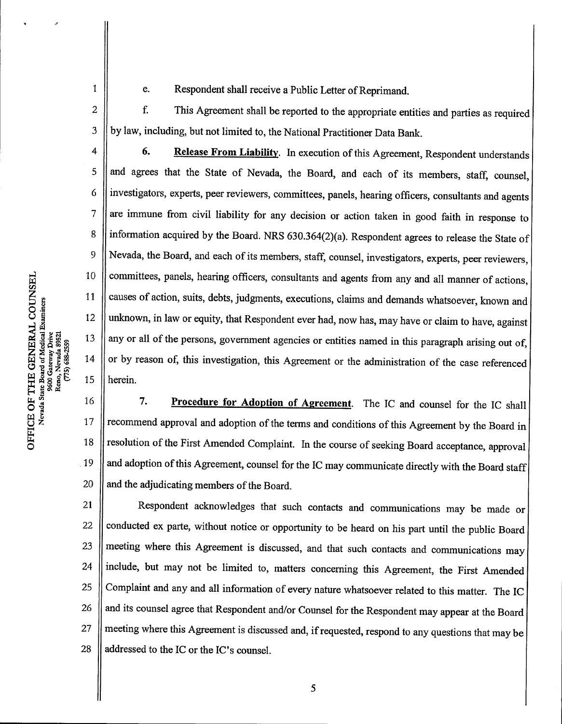$\mathbf{1}$ 

e. Respondent shall receive a Public Letter of Reprimand.<br>F. This Agreement shall be reported to the appropriate ent

This Agreement shall be reported to the appropriate entities and parties as required by law, including, but not limited to, the National Practitioner Data Bank. 2 3

6. Release From Liability. In execution of this Agreement, Respondent understands and agrees that the State of Nevada, the Board, and each of its members, staff, counsel, investigators, experts, peer reviewers, committees, panels, hearing officers, consultants and agents are immune from civil liability for any decision or action taken in good faith in response to information acquired by the Board. NRS 630.364(2)(a). Respondent agrees to release the State of Nevada, the Board, and each of its members, staff, counsel, investigators, experts, peer reviewers, committees, panels, hearing officers, consultants and agents from any and all manner of actions, causes of action, suits, debts, judgments, executions, claims and demands whatsoever, known and unknown, in law or equity, that Respondent ever had, now has, may have or claim to have, against any or all of the persons, government agencies or entities named in this paragraph arising out of, or by reason of, this investigation, this Agreement or the administration of the case referenced herein. 4 5 6 7 8 9 10 11 12 13 14 15

7. Procedure for Adoption of Agreement. The IC and counsel for the IC shall recommend approval and adoption of the terms and conditions of this Agreement by the Board in resolution of the First Amended Complaint. In the course of seeking Board acceptance, approval and adoption of this Agreement, counsel for the IC may communicate directly with the Board staff and the adjudicating members of the Board. 16 17 18 19 20

Respondent acknowledges that such contacts and communications may be made or conducted ex parte, without notice or opportunity to be heard on his part until the public Board meeting where this Agreement is discussed, and that such contacts and communications may include, but may not be limited to, matters concerning this Agreement, the First Amended Complaint and any and all information of every nature whatsoever related to this matter. The IC and its counsel agree that Respondent and/or Counsel for the Respondent may appear at the Board meeting where this Agreement is discussed and, if requested, respond to any questions that may be addressed to the IC or the IC's counsel. 21 22 23 24 25 26 27 28

 $\bar{\circ}$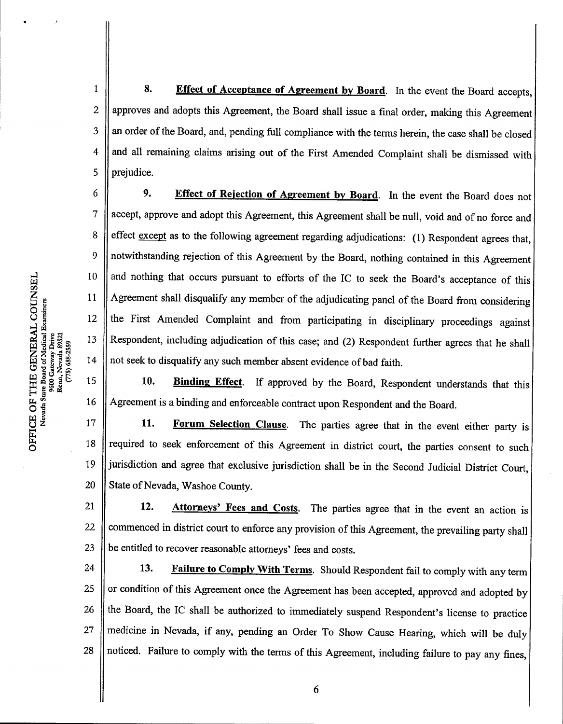w en, COU<br>xaminer 9600 Gateway Drive<br>Reno, Nevada 8952.  $(775)$  688-2559  $\rm{H}$  . TCE C

5<br>ס

8. Effect of Acceptance of Agreement by Board. In the event the Board accepts, approves and adopts this Agreement, the Board shall issue a final order, making this Agreement an order of the Board, and, pending full compliance with the terms herein, the case shall be closed and all remaining claims arising out of the First Amended Complaint shall be dismissed with prejudice. 1 2 3 4 5

9. Effect of Rejection of Agreement by Board. In the event the Board does not accept, approve and adopt this Agreement, this Agreement shall be null, void and of no force and effect except as to the following agreement regarding adjudications:  $(1)$  Respondent agrees that, notwithstanding rejection of this Agreement by the Board, nothing contained in this Agreement and nothing that occurs pursuant to efforts of the IC to seek the Board's acceptance of this Agreement shall disqualify any member of the adjudicating panel of the Board from considering the First Amended Complaint and from participating in disciplinary proceedings against Respondent, including adjudication of this case; and (2) Respondent further agrees that he shall not seek to disqualify any such member absent evidence of bad faith. 6 7 8 9 10 11 12 13 14

15 10. Binding Effect. If approved by the Board, Respondent understands that this Agreement is a binding and enforceable contract upon Respondent and the Board. 16

11. Forum Selection Clause. The parties agree that in the event either party is required to seek enforcement of this Agreement in district court, the parties consent to such jurisdiction and agree that exclusive jurisdiction shall be in the Second Judicial District Court, State of Nevada, Washoe County. 17 18 19 20

12. Attorneys' Fees and Costs. The parties agree that in the event an action is commenced in district court to enforce any provision of this Agreement, the prevailing party shall be entitled to recover reasonable attorneys' fees and costs. 21 22 23

13. Failure to Comply With Terms. Should Respondent fail to comply with any term or condition of this Agreement once the Agreement has been accepted, approved and adopted by the Board, the IC shall be authorized to immediately suspend Respondent's license to practice medicine in Nevada, if any, pending an Order To Show Cause Hearing, which will be duly noticed. Failure to comply with the terms of this Agreement, including failure to pay any fines, 24 25 26 27 28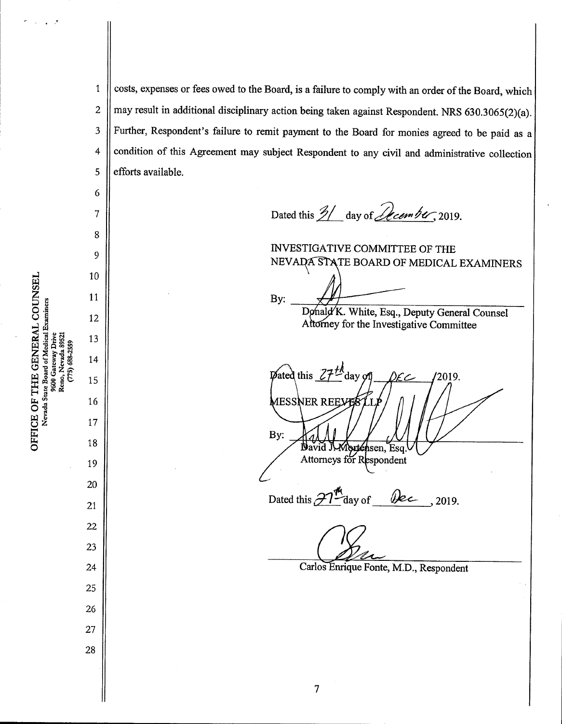costs, expenses or fees owed to the Board, is a failure to comply with an order of the Board, which may result in additional disciplinary action being taken against Respondent. NRS 630.3065(2)(a). Further, Respondent's failure to remit payment to the Board for monies agreed to be paid as a condition of this Agreement may subject Respondent to any civil and administrative collection efforts available. 1 2 3 4 5

Dated this  $\frac{2}{\sqrt{2}}$  day of *December*, 2019.

INVESTIGATIVE COMMITTEE OF THE NEVADA STATE BOARD OF MEDICAL EXAMINERS

By:

Donald K. White, Esq., Deputy General Counsel Attorney for the Investigative Committee

 $\mathbf{p}$ ated this  $\mathcal{Z} \mathcal{I}^{\mathcal{H}}$ day 2019. 1ESSNER REEYE By: Mortensen, Esq Navid J Attorneys for Respondent

Dated this  $\mathcal{H}^{\mathbf{A}}$  day of  $\mathcal{P}$   $\mathcal{P}$  , 2019.

 $\overline{7}$ 

Carlos Enrique Fonte, M.D., Respondent

\$DD<br>DO Nevada State Board of Medical Examiners 9600 Gateway Drive<br>Reno, Nevada 89521<br>(775) 688-2559 E OF T<br>evada Sta TCE<br>Neva E

14 15 16 17 18 19 20 21 22 23 24 25 26

27

28

6

7

8

9

10

11

12